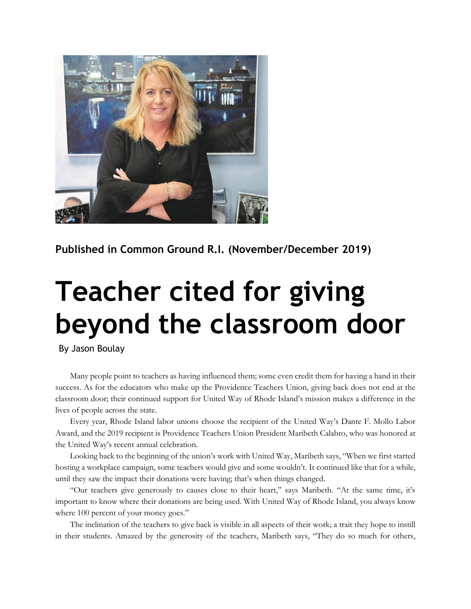

**Published in Common Ground R.I. (November/December 2019)**

## **Teacher cited for giving beyond the classroom door**

By Jason Boulay

Many people point to teachers as having influenced them; some even credit them for having a hand in their success. As for the educators who make up the Providence Teachers Union, giving back does not end at the classroom door; their continued support for United Way of Rhode Island's mission makes a difference in the lives of people across the state.

Every year, Rhode Island labor unions choose the recipient of the United Way's Dante F. Mollo Labor Award, and the 2019 recipient is Providence Teachers Union President Maribeth Calabro, who was honored at the United Way's recent annual celebration.

Looking back to the beginning of the union's work with United Way, Maribeth says, "When we first started hosting a workplace campaign, some teachers would give and some wouldn't. It continued like that for a while, until they saw the impact their donations were having; that's when things changed.

"Our teachers give generously to causes close to their heart," says Maribeth. "At the same time, it's important to know where their donations are being used. With United Way of Rhode Island, you always know where 100 percent of your money goes."

The inclination of the teachers to give back is visible in all aspects of their work; a trait they hope to instill in their students. Amazed by the generosity of the teachers, Maribeth says, "They do so much for others,